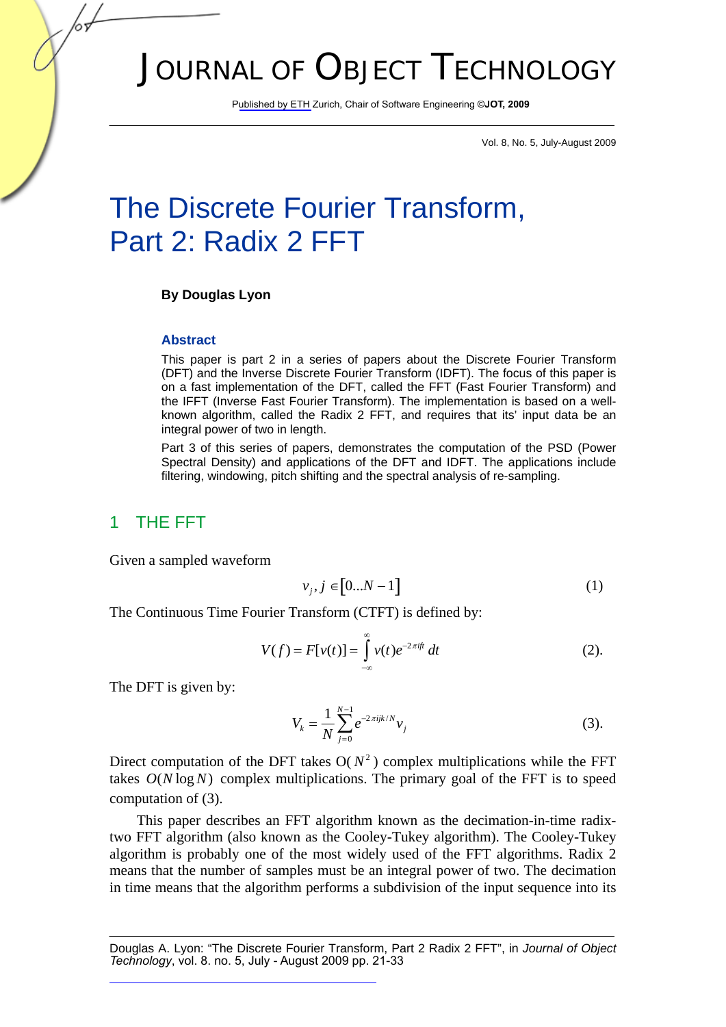# JOURNAL OF OBJECT TECHNOLOGY

Published by ETH Zurich, Chair of Software Engineering ©**JOT, 2009**

Vol. 8, No. 5, July-August 2009

# The Discrete Fourier Transform, Part 2: Radix 2 FFT

#### **By Douglas Lyon**

#### **Abstract**

This paper is part 2 in a series of papers about the Discrete Fourier Transform (DFT) and the Inverse Discrete Fourier Transform (IDFT). The focus of this paper is on a fast implementation of the DFT, called the FFT (Fast Fourier Transform) and the IFFT (Inverse Fast Fourier Transform). The implementation is based on a wellknown algorithm, called the Radix 2 FFT, and requires that its' input data be an integral power of two in length.

Part 3 of this series of papers, demonstrates the computation of the PSD (Power Spectral Density) and applications of the DFT and IDFT. The applications include filtering, windowing, pitch shifting and the spectral analysis of re-sampling.

### 1 THE FFT

Given a sampled waveform

$$
v_j, j \in [0...N-1]
$$
 (1)

The Continuous Time Fourier Transform (CTFT) is defined by:

$$
V(f) = F[v(t)] = \int_{-\infty}^{\infty} v(t)e^{-2\pi ift} dt
$$
 (2).

The DFT is given by:

$$
V_k = \frac{1}{N} \sum_{j=0}^{N-1} e^{-2\pi i j k/N} v_j
$$
 (3).

Direct computation of the DFT takes  $O(N^2)$  complex multiplications while the FFT takes  $O(N \log N)$  complex multiplications. The primary goal of the FFT is to speed computation of (3).

This paper describes an FFT algorithm known as the decimation-in-time radixtwo FFT algorithm (also known as the Cooley-Tukey algorithm). The Cooley-Tukey algorithm is probably one of the most widely used of the FFT algorithms. Radix 2 means that the number of samples must be an integral power of two. The decimation in time means that the algorithm performs a subdivision of the input sequence into its

Douglas A. Lyon: "The Discrete Fourier Transform, Part 2 Radix 2 FFT", in *Journal of Object Technology*, vol. 8. no. 5, July - August 2009 pp. 21-33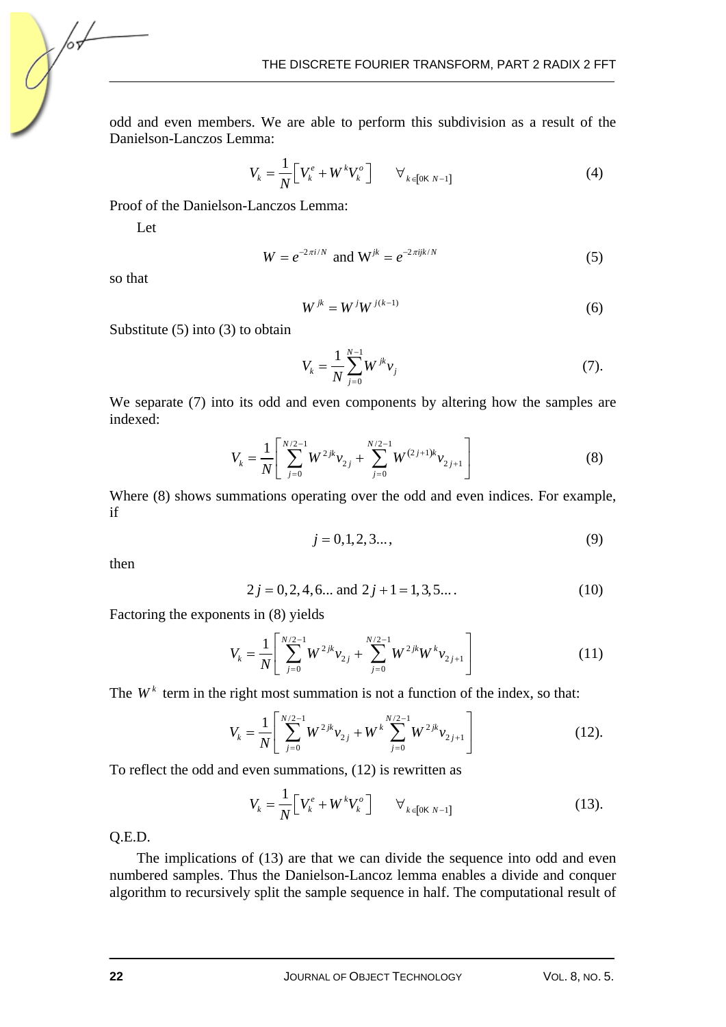odd and even members. We are able to perform this subdivision as a result of the Danielson-Lanczos Lemma:

$$
V_k = \frac{1}{N} \Big[ V_k^e + W^k V_k^o \Big] \qquad \forall_{k \in [0 \text{K } N-1]} \tag{4}
$$

Proof of the Danielson-Lanczos Lemma:

Let

$$
W = e^{-2\pi i/N} \text{ and } W^{jk} = e^{-2\pi ijk/N} \tag{5}
$$

so that

/оъ

$$
W^{jk} = W^j W^{j(k-1)} \tag{6}
$$

Substitute (5) into (3) to obtain

$$
V_k = \frac{1}{N} \sum_{j=0}^{N-1} W^{jk} v_j
$$
 (7).

We separate (7) into its odd and even components by altering how the samples are indexed:

$$
V_k = \frac{1}{N} \left[ \sum_{j=0}^{N/2-1} W^{2jk} v_{2j} + \sum_{j=0}^{N/2-1} W^{(2j+1)k} v_{2j+1} \right]
$$
(8)

Where (8) shows summations operating over the odd and even indices. For example, if

$$
j = 0, 1, 2, 3..., \tag{9}
$$

then

$$
2j = 0, 2, 4, 6...
$$
 and  $2j + 1 = 1, 3, 5...$  (10)

Factoring the exponents in (8) yields

$$
V_k = \frac{1}{N} \left[ \sum_{j=0}^{N/2-1} W^{2jk} v_{2j} + \sum_{j=0}^{N/2-1} W^{2jk} W^k v_{2j+1} \right]
$$
(11)

The  $W<sup>k</sup>$  term in the right most summation is not a function of the index, so that:

$$
V_k = \frac{1}{N} \left[ \sum_{j=0}^{N/2-1} W^{2jk} v_{2j} + W^k \sum_{j=0}^{N/2-1} W^{2jk} v_{2j+1} \right]
$$
(12).

To reflect the odd and even summations, (12) is rewritten as

$$
V_{k} = \frac{1}{N} \Big[ V_{k}^{e} + W^{k} V_{k}^{o} \Big] \qquad \forall_{k \in [0 \text{K } N-1]} \tag{13}.
$$

Q.E.D.

The implications of (13) are that we can divide the sequence into odd and even numbered samples. Thus the Danielson-Lancoz lemma enables a divide and conquer algorithm to recursively split the sample sequence in half. The computational result of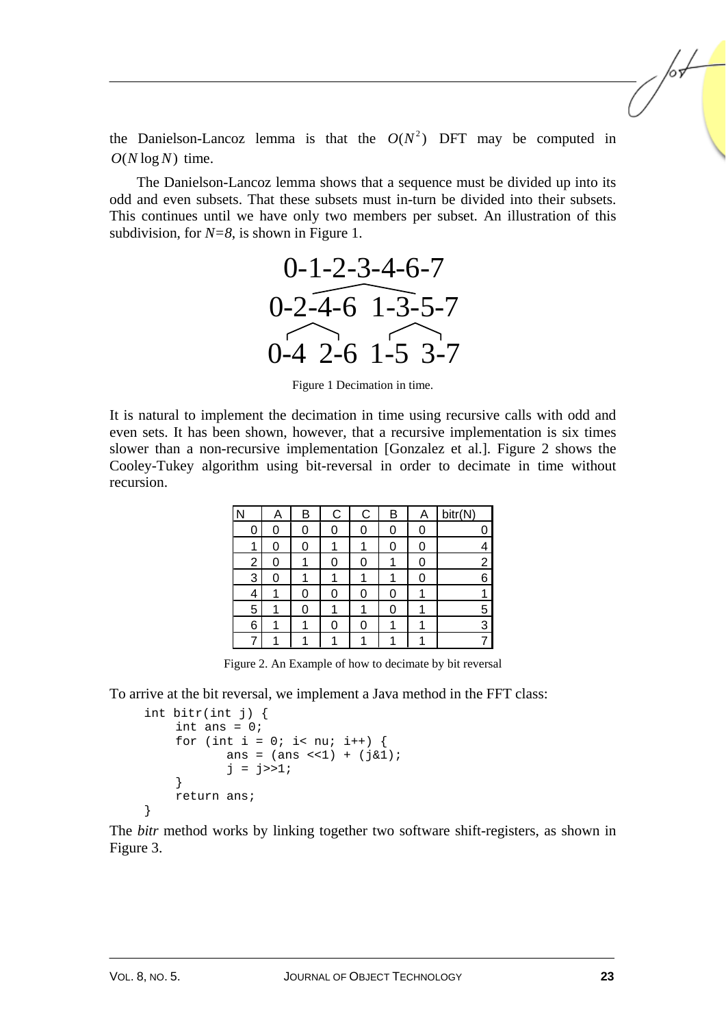the Danielson-Lancoz lemma is that the  $O(N^2)$  DFT may be computed in  $O(N \log N)$  time.

The Danielson-Lancoz lemma shows that a sequence must be divided up into its odd and even subsets. That these subsets must in-turn be divided into their subsets. This continues until we have only two members per subset. An illustration of this subdivision, for *N=8*, is shown in Figure 1.



Figure 1 Decimation in time.

It is natural to implement the decimation in time using recursive calls with odd and even sets. It has been shown, however, that a recursive implementation is six times slower than a non-recursive implementation [Gonzalez et al.]. Figure 2 shows the Cooley-Tukey algorithm using bit-reversal in order to decimate in time without recursion.

|   | A | В | С | C | B | А | bitr(N) |
|---|---|---|---|---|---|---|---------|
| O | 0 | 0 |   |   |   |   |         |
|   | 0 | 0 |   |   | 0 | 0 |         |
| 2 |   |   |   |   |   |   | 2       |
| 3 | Ⴖ |   |   |   |   |   | 6       |
| 4 |   | ი |   |   |   |   |         |
| 5 | 4 |   |   |   | Ⴖ |   | 5       |
| 6 | л |   | Ω | ი |   |   | 3       |
|   | и |   |   |   |   |   |         |

Figure 2. An Example of how to decimate by bit reversal

To arrive at the bit reversal, we implement a Java method in the FFT class:

```
 int bitr(int j) { 
     int ans = 0; 
    for (int i = 0; i< nu; i++) {
            ans = (ans \le 1) + (ja1);j = j>>1; } 
     return ans; 
 }
```
The *bitr* method works by linking together two software shift-registers, as shown in Figure 3.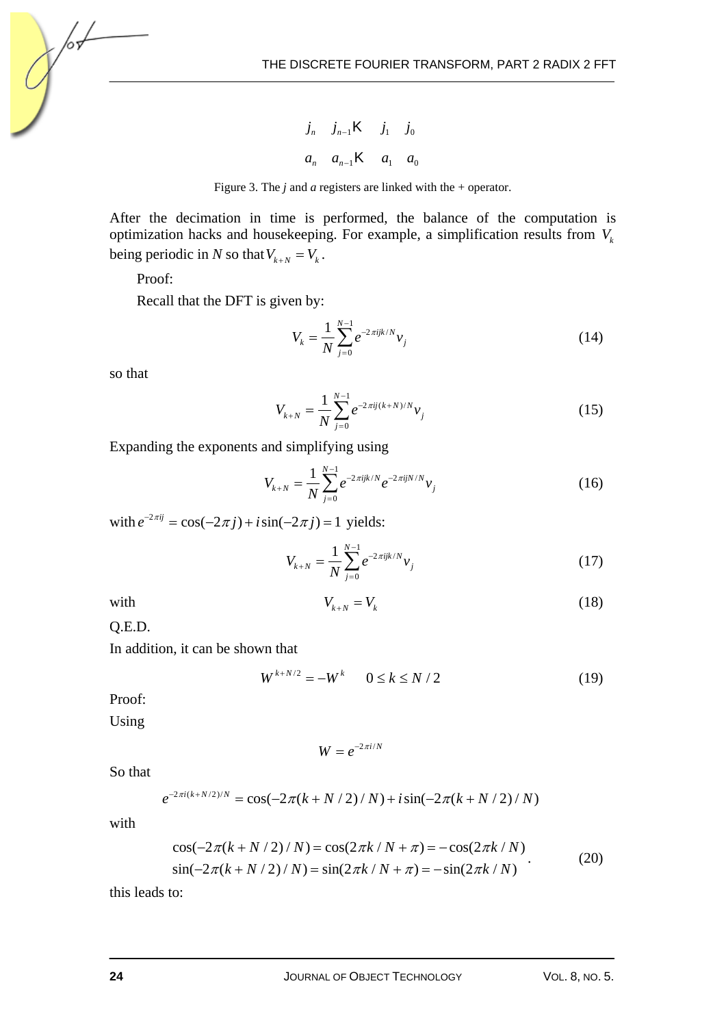$j_n$  *j*<sub>n−1</sub>**K** *j*<sub>1</sub> *j*<sub>0</sub> *a<sub>n</sub> a*<sub>*n*−1</sub>**K** *a*<sub>1</sub> *a*<sub>0</sub>



After the decimation in time is performed, the balance of the computation is optimization hacks and housekeeping. For example, a simplification results from  $V_k$ being periodic in *N* so that  $V_{k+N} = V_k$ .

Proof:

Recall that the DFT is given by:

$$
V_k = \frac{1}{N} \sum_{j=0}^{N-1} e^{-2\pi i j k/N} v_j
$$
 (14)

so that

/оъ

$$
V_{k+N} = \frac{1}{N} \sum_{j=0}^{N-1} e^{-2\pi i j (k+N)/N} v_j
$$
 (15)

Expanding the exponents and simplifying using

$$
V_{k+N} = \frac{1}{N} \sum_{j=0}^{N-1} e^{-2\pi i j k/N} e^{-2\pi i j N/N} v_j
$$
 (16)

with  $e^{-2\pi i j} = \cos(-2\pi j) + i\sin(-2\pi j) = 1$  yields:

$$
V_{k+N} = \frac{1}{N} \sum_{j=0}^{N-1} e^{-2\pi i j k/N} v_j
$$
 (17)

with 
$$
V_{k+N} = V_k
$$
 (18)

Q.E.D.

In addition, it can be shown that

$$
W^{k+N/2} = -W^k \qquad 0 \le k \le N/2 \tag{19}
$$

Proof:

Using

$$
W=e^{-2\pi i/N}
$$

So that

$$
e^{-2\pi i(k+N/2)/N} = \cos(-2\pi (k+N/2)/N) + i\sin(-2\pi (k+N/2)/N)
$$

with

$$
\cos(-2\pi(k+N/2)/N) = \cos(2\pi k/N + \pi) = -\cos(2\pi k/N)
$$
  
\n
$$
\sin(-2\pi(k+N/2)/N) = \sin(2\pi k/N + \pi) = -\sin(2\pi k/N)
$$
 (20)

this leads to: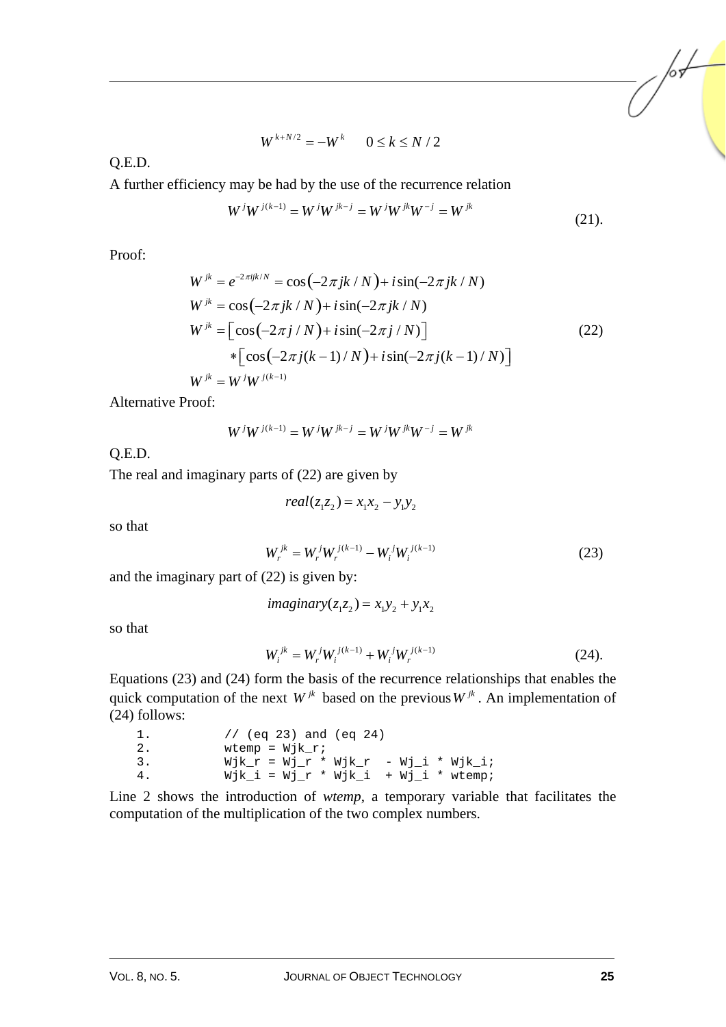$$
W^{k+N/2} = -W^k \qquad 0 \le k \le N/2
$$

Q.E.D.

A further efficiency may be had by the use of the recurrence relation

$$
W^{j}W^{j(k-1)} = W^{j}W^{jk-j} = W^{j}W^{jk}W^{-j} = W^{jk}
$$
\n(21).

Proof:

$$
W^{jk} = e^{-2\pi i jk/N} = \cos(-2\pi jk/N) + i\sin(-2\pi jk/N)
$$
  
\n
$$
W^{jk} = \cos(-2\pi jk/N) + i\sin(-2\pi jk/N)
$$
  
\n
$$
W^{jk} = \left[\cos(-2\pi j/N) + i\sin(-2\pi j/N)\right]
$$
  
\n
$$
*\left[\cos(-2\pi j(k-1)/N) + i\sin(-2\pi j(k-1)/N)\right]
$$
  
\n
$$
W^{jk} = W^{j}W^{j(k-1)}
$$
\n(22)

Alternative Proof:

$$
W^j W^{j(k-1)} = W^j W^{jk-j} = W^j W^{jk} W^{-j} = W^{jk}
$$

Q.E.D.

The real and imaginary parts of (22) are given by

$$
real(z_1z_2) = x_1x_2 - y_1y_2
$$

so that

$$
W_r^{jk} = W_r^j W_r^{j(k-1)} - W_i^j W_i^{j(k-1)}
$$
\n(23)

and the imaginary part of (22) is given by:

$$
imaginary(z_1z_2) = x_1y_2 + y_1x_2
$$

so that

$$
W_i^{jk} = W_r^j W_i^{j(k-1)} + W_i^j W_r^{j(k-1)}
$$
\n(24).

Equations (23) and (24) form the basis of the recurrence relationships that enables the quick computation of the next  $W^{jk}$  based on the previous  $W^{jk}$ . An implementation of (24) follows:

| 1.  | // $(eq 23)$ and $(eq 24)$             |
|-----|----------------------------------------|
| -2. | wtemp = $Wjk$ r;                       |
| 3.  | Wjk_r = Wj_r * Wjk_r - Wj_i * Wjk i;   |
| 4.  | $Wjk_i = Wj_r * Wjk_i + Wj_i * wtemp;$ |

Line 2 shows the introduction of *wtemp*, a temporary variable that facilitates the computation of the multiplication of the two complex numbers.

/or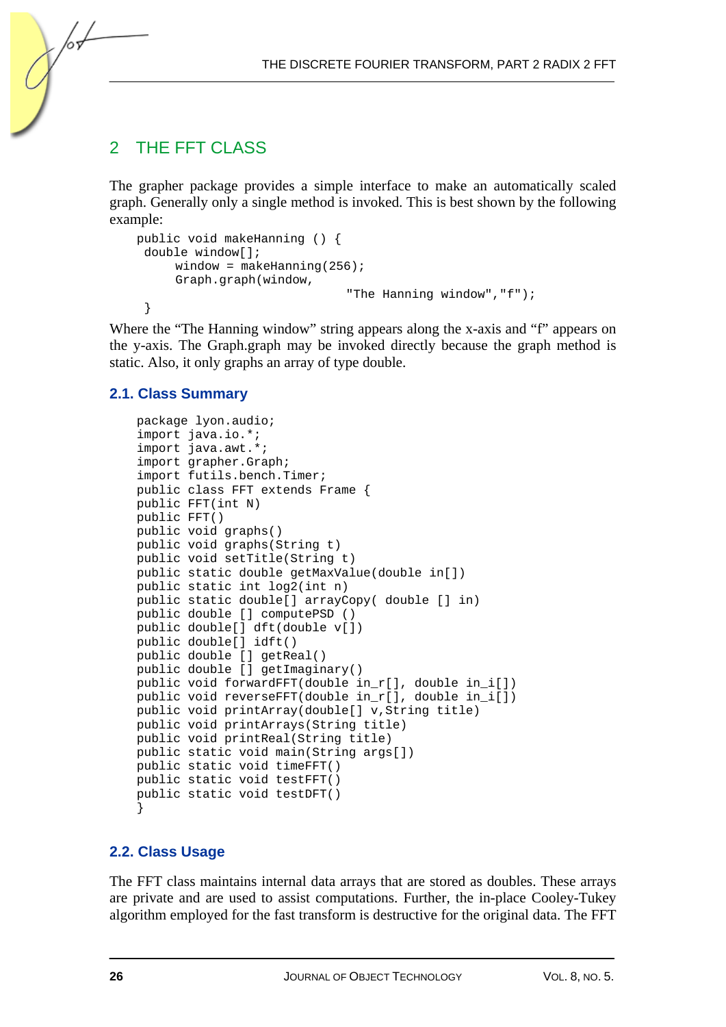## 2 THE FFT CLASS

∕०ऽ

The grapher package provides a simple interface to make an automatically scaled graph. Generally only a single method is invoked. This is best shown by the following example:

```
public void makeHanning () { 
  double window[]; 
     window = makeHanning(256);
      Graph.graph(window, 
                                 "The Hanning window","f"); 
  }
```
Where the "The Hanning window" string appears along the x-axis and "f" appears on the y-axis. The Graph.graph may be invoked directly because the graph method is static. Also, it only graphs an array of type double.

#### **2.1. Class Summary**

```
package lyon.audio; 
import java.io.*; 
import java.awt.*; 
import grapher.Graph; 
import futils.bench.Timer; 
public class FFT extends Frame { 
public FFT(int N) 
public FFT() 
public void graphs() 
public void graphs(String t) 
public void setTitle(String t) 
public static double getMaxValue(double in[]) 
public static int log2(int n) 
public static double[] arrayCopy( double [] in) 
public double [] computePSD () 
public double[] dft(double v[]) 
public double[] idft() 
public double [] getReal() 
public double [] getImaginary() 
public void forwardFFT(double in_r[], double in_i[]) 
public void reverseFFT(double in_r[], double in_i[]) 
public void printArray(double[] v,String title) 
public void printArrays(String title) 
public void printReal(String title) 
public static void main(String args[]) 
public static void timeFFT() 
public static void testFFT() 
public static void testDFT() 
}
```
#### **2.2. Class Usage**

The FFT class maintains internal data arrays that are stored as doubles. These arrays are private and are used to assist computations. Further, the in-place Cooley-Tukey algorithm employed for the fast transform is destructive for the original data. The FFT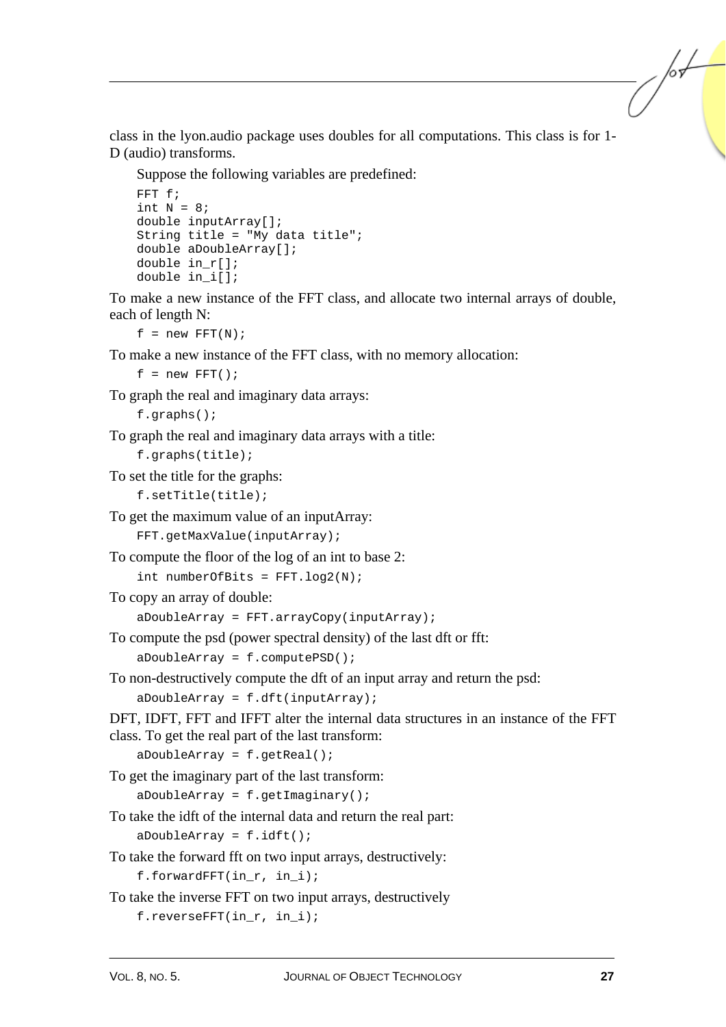class in the lyon.audio package uses doubles for all computations. This class is for 1- D (audio) transforms.

Suppose the following variables are predefined:

```
FFT f; 
int N = 8;
double inputArray[]; 
String title = "My data title"; 
double aDoubleArray[]; 
double in_r[]; 
double in_i[];
```
To make a new instance of the FFT class, and allocate two internal arrays of double, each of length N:

 $f = new FFT(N);$ 

To make a new instance of the FFT class, with no memory allocation:

 $f = new FFT()$ ;

To graph the real and imaginary data arrays:

```
f.graphs();
```
To graph the real and imaginary data arrays with a title:

```
f.graphs(title);
```
To set the title for the graphs:

f.setTitle(title);

To get the maximum value of an inputArray:

FFT.getMaxValue(inputArray);

To compute the floor of the log of an int to base 2:

```
int numberOfBits = FFT.log2(N);
```
To copy an array of double:

aDoubleArray = FFT.arrayCopy(inputArray);

To compute the psd (power spectral density) of the last dft or fft:

aDoubleArray = f.computePSD();

To non-destructively compute the dft of an input array and return the psd: aDoubleArray = f.dft(inputArray);

DFT, IDFT, FFT and IFFT alter the internal data structures in an instance of the FFT class. To get the real part of the last transform:

aDoubleArray = f.getReal();

To get the imaginary part of the last transform:

 $a$ DoubleArray = f.getImaginary();

To take the idft of the internal data and return the real part:

 $a$ DoubleArray =  $f.idft()$ ;

To take the forward fft on two input arrays, destructively:

f.forwardFFT(in r, in i);

To take the inverse FFT on two input arrays, destructively

f.reverseFFT(in r, in i);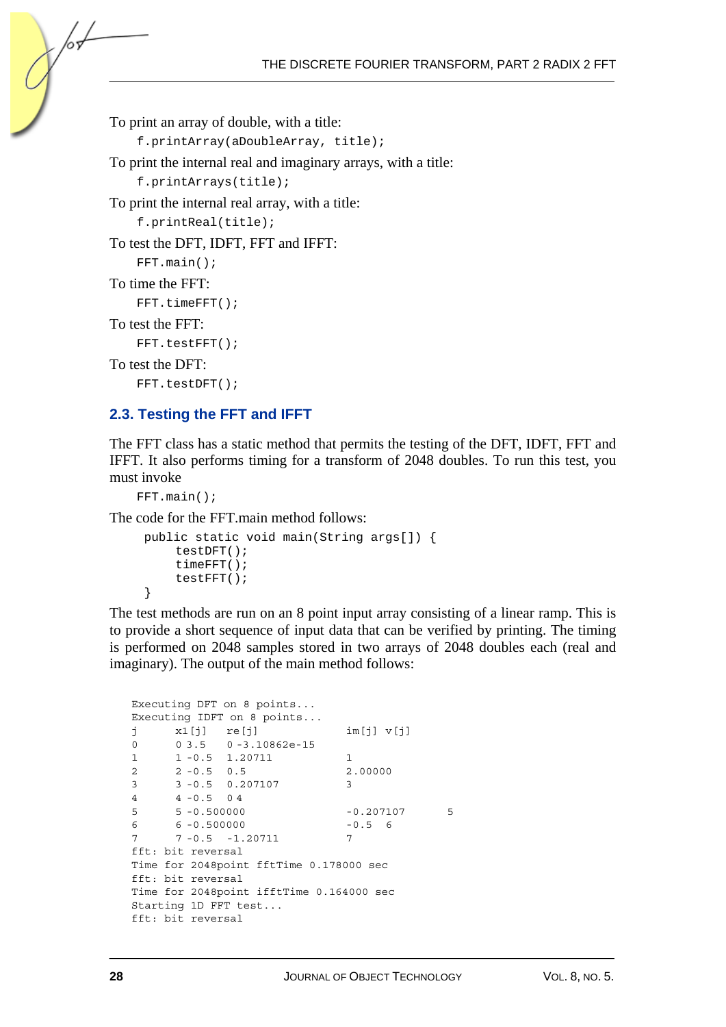To print an array of double, with a title:

```
f.printArray(aDoubleArray, title);
```
To print the internal real and imaginary arrays, with a title:

```
f.printArrays(title);
```
To print the internal real array, with a title:

```
f.printReal(title);
```
To test the DFT, IDFT, FFT and IFFT:

```
FFT.main();
```

```
To time the FFT:
```
/or

```
FFT.timeFFT();
```

```
To test the FFT:
```

```
FFT.testFFT();
```

```
To test the DFT:
```
FFT.testDFT();

### **2.3. Testing the FFT and IFFT**

The FFT class has a static method that permits the testing of the DFT, IDFT, FFT and IFFT. It also performs timing for a transform of 2048 doubles. To run this test, you must invoke

```
FFT.main();
```
The code for the FFT.main method follows:

```
 public static void main(String args[]) { 
     testDFT(); 
     timeFFT(); 
     testFFT(); 
 }
```
The test methods are run on an 8 point input array consisting of a linear ramp. This is to provide a short sequence of input data that can be verified by printing. The timing is performed on 2048 samples stored in two arrays of 2048 doubles each (real and imaginary). The output of the main method follows:

```
Executing DFT on 8 points... 
Executing IDFT on 8 points... 
j x1[j] re[j] im[j] v[j] 
0 0 3.5 0 -3.10862e-15
1 - 0.5 1.20711 1
2 2 -0.5 0.5 2.00000 
3 3 -0.5 0.207107 3 
4 4 -0.5 0 4 
5 5 -0.500000 -0.207107 5 
6 6 -0.500000 -0.5 6 
7 7 -0.5 -1.20711 7 
fft: bit reversal 
Time for 2048point fftTime 0.178000 sec 
fft: bit reversal 
Time for 2048point ifftTime 0.164000 sec 
Starting 1D FFT test... 
fft: bit reversal
```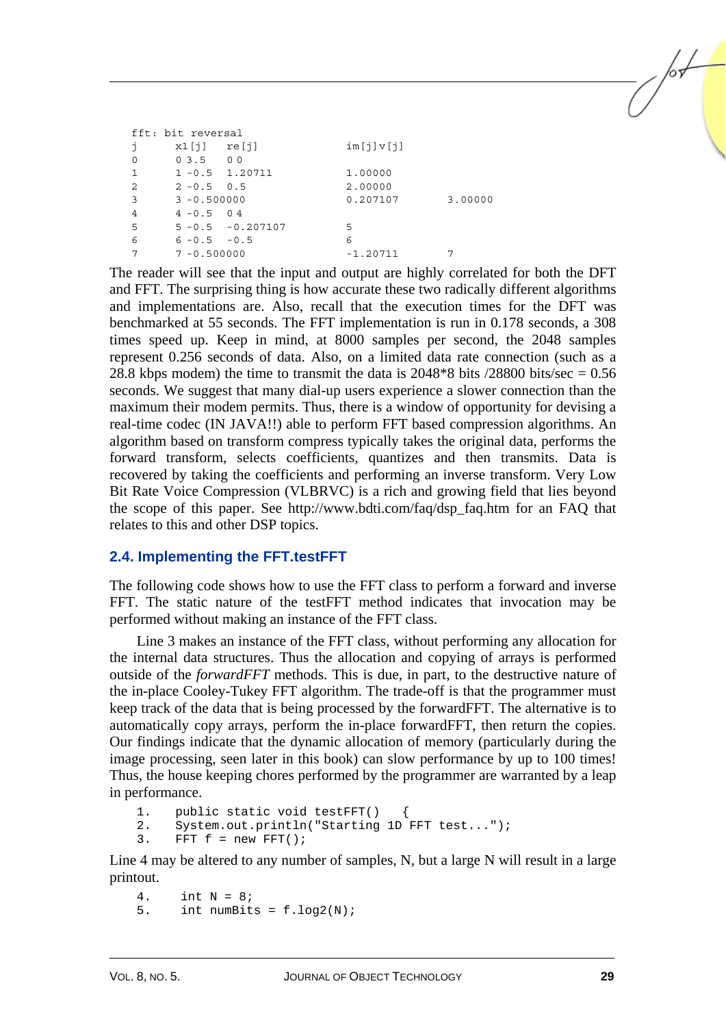| fft: bit reversal |                 |                      |            |         |
|-------------------|-----------------|----------------------|------------|---------|
| İ                 | x1[i]           | re[j]                | im[j]v[j]  |         |
| $\Omega$          | 03.500          |                      |            |         |
| 1                 |                 | $1 - 0.5$ 1.20711    | 1,00000    |         |
| 2                 | $2 - 0.5$ 0.5   |                      | 2.00000    |         |
| 3                 | $3 - 0.500000$  |                      | 0.207107   | 3.00000 |
| 4                 | $4 - 0.5$ 04    |                      |            |         |
| -5                |                 | $5 - 0.5 - 0.207107$ | 5          |         |
| 6                 | $6 - 0.5 - 0.5$ |                      | 6          |         |
|                   | $7 - 0.500000$  |                      | $-1.20711$ |         |

The reader will see that the input and output are highly correlated for both the DFT and FFT. The surprising thing is how accurate these two radically different algorithms and implementations are. Also, recall that the execution times for the DFT was benchmarked at 55 seconds. The FFT implementation is run in 0.178 seconds, a 308 times speed up. Keep in mind, at 8000 samples per second, the 2048 samples represent 0.256 seconds of data. Also, on a limited data rate connection (such as a 28.8 kbps modem) the time to transmit the data is  $2048*8$  bits  $/28800$  bits/sec = 0.56 seconds. We suggest that many dial-up users experience a slower connection than the maximum their modem permits. Thus, there is a window of opportunity for devising a real-time codec (IN JAVA!!) able to perform FFT based compression algorithms. An algorithm based on transform compress typically takes the original data, performs the forward transform, selects coefficients, quantizes and then transmits. Data is recovered by taking the coefficients and performing an inverse transform. Very Low Bit Rate Voice Compression (VLBRVC) is a rich and growing field that lies beyond the scope of this paper. See http://www.bdti.com/faq/dsp\_faq.htm for an FAQ that relates to this and other DSP topics.

### **2.4. Implementing the FFT.testFFT**

The following code shows how to use the FFT class to perform a forward and inverse FFT. The static nature of the testFFT method indicates that invocation may be performed without making an instance of the FFT class.

Line 3 makes an instance of the FFT class, without performing any allocation for the internal data structures. Thus the allocation and copying of arrays is performed outside of the *forwardFFT* methods. This is due, in part, to the destructive nature of the in-place Cooley-Tukey FFT algorithm. The trade-off is that the programmer must keep track of the data that is being processed by the forwardFFT. The alternative is to automatically copy arrays, perform the in-place forwardFFT, then return the copies. Our findings indicate that the dynamic allocation of memory (particularly during the image processing, seen later in this book) can slow performance by up to 100 times! Thus, the house keeping chores performed by the programmer are warranted by a leap in performance.

1. public static void testFFT()

```
2. System.out.println("Starting 1D FFT test...");
```

```
3. FFT f = new FFT();
```
Line 4 may be altered to any number of samples, N, but a large N will result in a large printout.

4. int  $N = 8i$ 5. int numBits =  $f.log2(N);$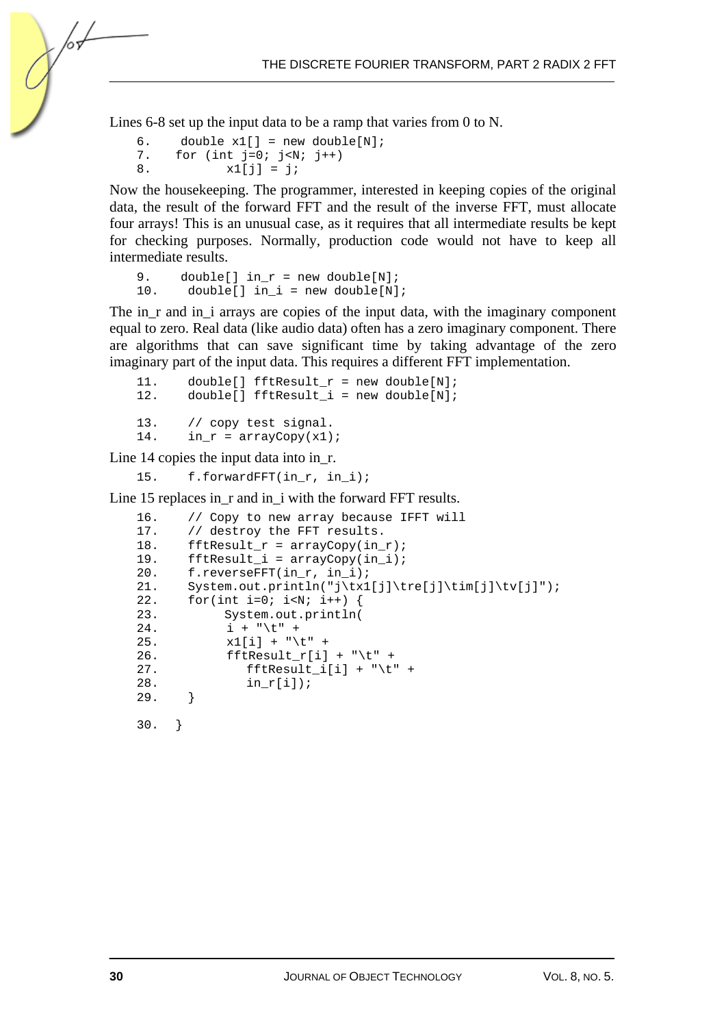Lines 6-8 set up the input data to be a ramp that varies from 0 to N.

```
6. double x1[] = new double[N];<br>7. for (int i=0; i<N; i++)
7. for (int j=0; j<N; j++)<br>8. x1[i] = i;x1[j] = j;
```
hч

Now the housekeeping. The programmer, interested in keeping copies of the original data, the result of the forward FFT and the result of the inverse FFT, must allocate four arrays! This is an unusual case, as it requires that all intermediate results be kept for checking purposes. Normally, production code would not have to keep all intermediate results.

```
9. double[] in_r = new double[N];
10. double[] in i = new double[N];
```
The in\_r and in\_i arrays are copies of the input data, with the imaginary component equal to zero. Real data (like audio data) often has a zero imaginary component. There are algorithms that can save significant time by taking advantage of the zero imaginary part of the input data. This requires a different FFT implementation.

```
11. double[] fftResult_r = new double[N];<br>12. double[] fftResult_i = new double[N];double[] fftResult_i = new double[N];
13. // copy test signal. 
14. in_r = \text{arrayCopy}(x1);
```
Line 14 copies the input data into in\_r.

15. f.forwardFFT(in\_r, in\_i);

Line 15 replaces in\_r and in\_i with the forward FFT results.

```
16. // Copy to new array because IFFT will 
17. // destroy the FFT results. 
18. fftResult_r = \text{arrayCopy}(in_r);19. fftResult_i = arrayCopy(in_i); 
20. f.reverseFFT(in_r, in_i); 
21. System.out.println("j\tx1[j]\tre[j]\tim[j]\tv[j]");
22. for(int i=0; i<N; i++) {
23. System.out.println( 
24. i + "\t" +
25. x1[i] + "\t" + 
26. fftResult_r[i] + "\t" +
27. fftResult_i[i] + "\setminus t" +
28. \quad \text{in\_r[i]};29. }
30. }
```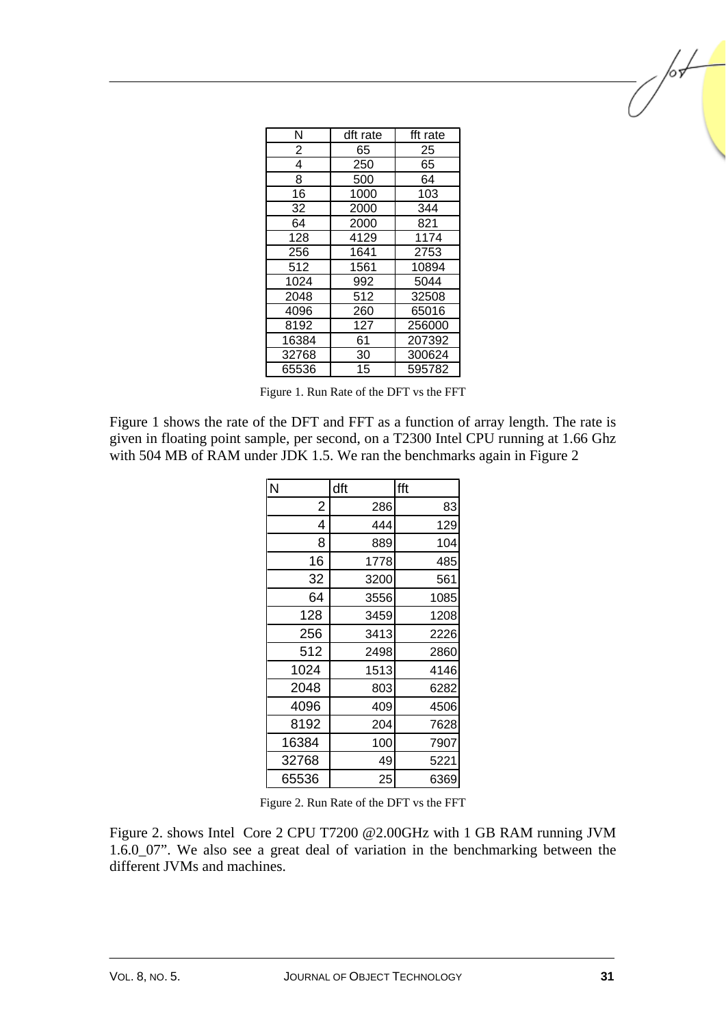| Ν     | dft rate | fft rate |
|-------|----------|----------|
| 2     | 65       | 25       |
| 4     | 250      | 65       |
| 8     | 500      | 64       |
| 16    | 1000     | 103      |
| 32    | 2000     | 344      |
| 64    | 2000     | 821      |
| 128   | 4129     | 1174     |
| 256   | 1641     | 2753     |
| 512   | 1561     | 10894    |
| 1024  | 992      | 5044     |
| 2048  | 512      | 32508    |
| 4096  | 260      | 65016    |
| 8192  | 127      | 256000   |
| 16384 | 61       | 207392   |
| 32768 | 30       | 300624   |
| 65536 | 15       | 595782   |

Figure 1. Run Rate of the DFT vs the FFT

Figure 1 shows the rate of the DFT and FFT as a function of array length. The rate is given in floating point sample, per second, on a T2300 Intel CPU running at 1.66 Ghz with 504 MB of RAM under JDK 1.5. We ran the benchmarks again in Figure 2

| N              | dft  | fft  |
|----------------|------|------|
| $\overline{2}$ | 286  | 83   |
| 4              | 444  | 129  |
| 8              | 889  | 104  |
| 16             | 1778 | 485  |
| 32             | 3200 | 561  |
| 64             | 3556 | 1085 |
| 128            | 3459 | 1208 |
| 256            | 3413 | 2226 |
| 512            | 2498 | 2860 |
| 1024           | 1513 | 4146 |
| 2048           | 803  | 6282 |
| 4096           | 409  | 4506 |
| 8192           | 204  | 7628 |
| 16384          | 100  | 7907 |
| 32768          | 49   | 5221 |
| 65536          | 25   | 6369 |

Figure 2. Run Rate of the DFT vs the FFT

Figure 2. shows Intel Core 2 CPU T7200 @2.00GHz with 1 GB RAM running JVM 1.6.0\_07". We also see a great deal of variation in the benchmarking between the different JVMs and machines.

/or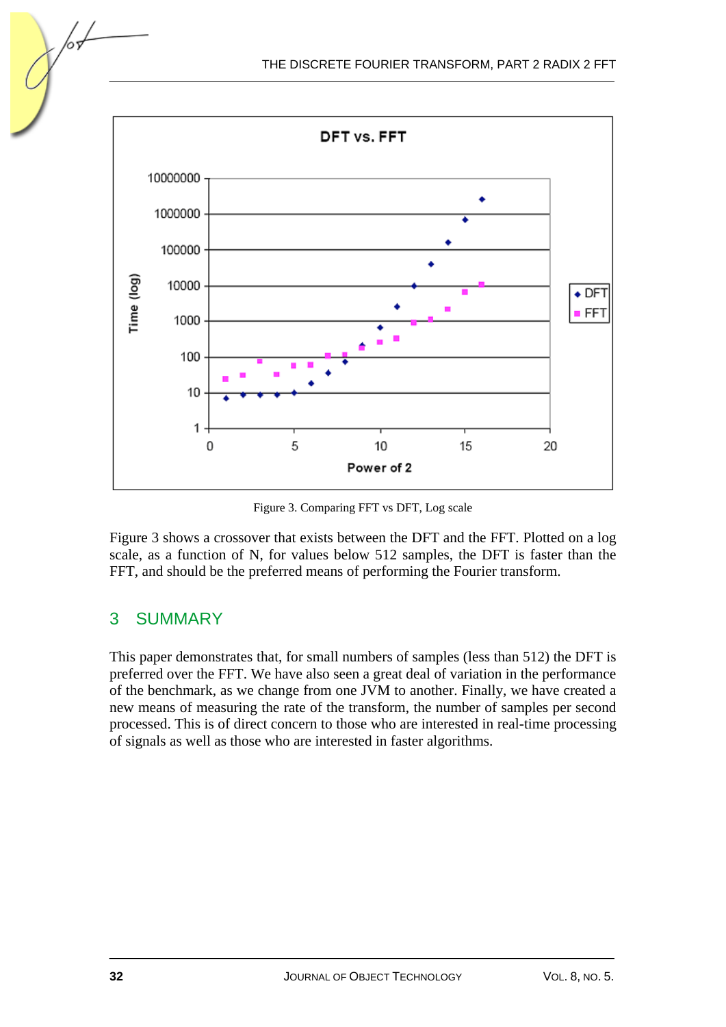

Figure 3. Comparing FFT vs DFT, Log scale

Figure 3 shows a crossover that exists between the DFT and the FFT. Plotted on a log scale, as a function of N, for values below 512 samples, the DFT is faster than the FFT, and should be the preferred means of performing the Fourier transform.

## 3 SUMMARY

This paper demonstrates that, for small numbers of samples (less than 512) the DFT is preferred over the FFT. We have also seen a great deal of variation in the performance of the benchmark, as we change from one JVM to another. Finally, we have created a new means of measuring the rate of the transform, the number of samples per second processed. This is of direct concern to those who are interested in real-time processing of signals as well as those who are interested in faster algorithms.